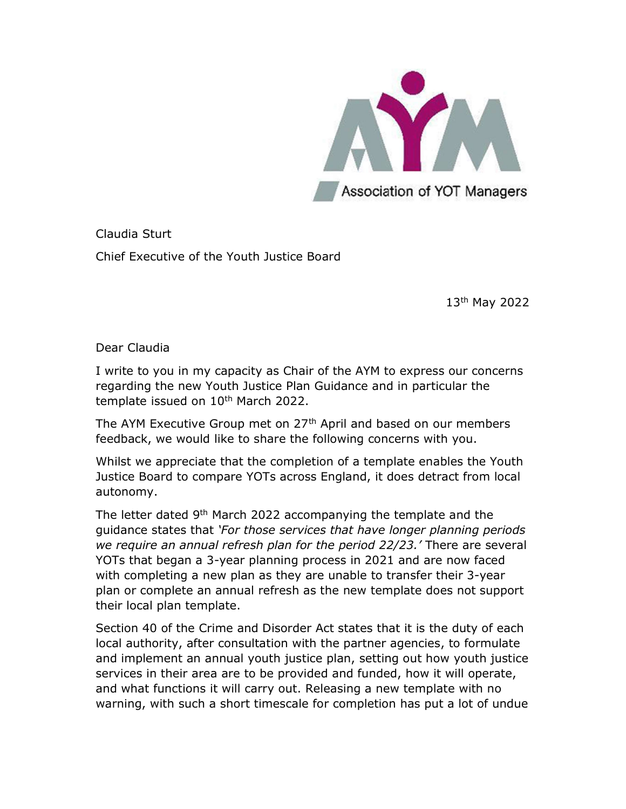

Claudia Sturt Chief Executive of the Youth Justice Board

13th May 2022

Dear Claudia

I write to you in my capacity as Chair of the AYM to express our concerns regarding the new Youth Justice Plan Guidance and in particular the template issued on 10<sup>th</sup> March 2022.

The AYM Executive Group met on 27<sup>th</sup> April and based on our members feedback, we would like to share the following concerns with you.

Whilst we appreciate that the completion of a template enables the Youth Justice Board to compare YOTs across England, it does detract from local autonomy.

The letter dated 9th March 2022 accompanying the template and the guidance states that 'For those services that have longer planning periods we require an annual refresh plan for the period 22/23.' There are several YOTs that began a 3-year planning process in 2021 and are now faced with completing a new plan as they are unable to transfer their 3-year plan or complete an annual refresh as the new template does not support their local plan template.

Section 40 of the Crime and Disorder Act states that it is the duty of each local authority, after consultation with the partner agencies, to formulate and implement an annual youth justice plan, setting out how youth justice services in their area are to be provided and funded, how it will operate, and what functions it will carry out. Releasing a new template with no warning, with such a short timescale for completion has put a lot of undue